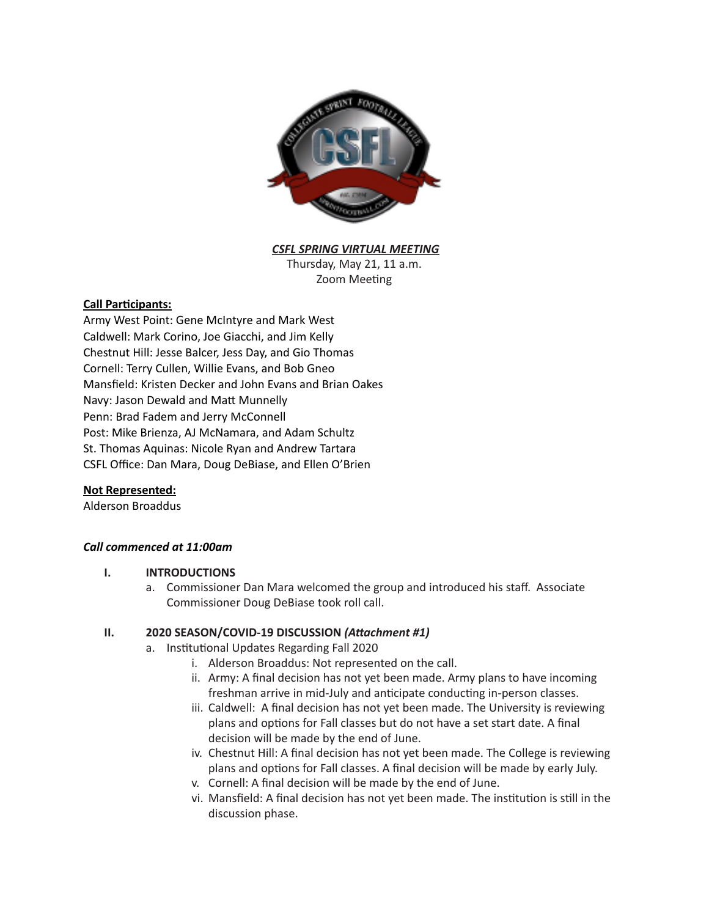

*CSFL SPRING VIRTUAL MEETING*

Thursday, May 21, 11 a.m. Zoom Meeting

# **Call Participants:**

Army West Point: Gene McIntyre and Mark West Caldwell: Mark Corino, Joe Giacchi, and Jim Kelly Chestnut Hill: Jesse Balcer, Jess Day, and Gio Thomas Cornell: Terry Cullen, Willie Evans, and Bob Gneo Mansfield: Kristen Decker and John Evans and Brian Oakes Navy: Jason Dewald and Matt Munnelly Penn: Brad Fadem and Jerry McConnell Post: Mike Brienza, AJ McNamara, and Adam Schultz St. Thomas Aquinas: Nicole Ryan and Andrew Tartara CSFL Office: Dan Mara, Doug DeBiase, and Ellen O'Brien

## **Not Represented:**

Alderson Broaddus

# *Call commenced at 11:00am*

## **I. INTRODUCTIONS**

a. Commissioner Dan Mara welcomed the group and introduced his staff. Associate Commissioner Doug DeBiase took roll call.

## **II. 2020 SEASON/COVID-19 DISCUSSION (Attachment #1)**

- a. Institutional Updates Regarding Fall 2020
	- i. Alderson Broaddus: Not represented on the call.
	- ii. Army: A final decision has not yet been made. Army plans to have incoming freshman arrive in mid-July and anticipate conducting in-person classes.
	- iii. Caldwell: A final decision has not yet been made. The University is reviewing plans and options for Fall classes but do not have a set start date. A final decision will be made by the end of June.
	- iv. Chestnut Hill: A final decision has not yet been made. The College is reviewing plans and options for Fall classes. A final decision will be made by early July.
	- v. Cornell: A final decision will be made by the end of June.
	- vi. Mansfield: A final decision has not yet been made. The institution is still in the discussion phase.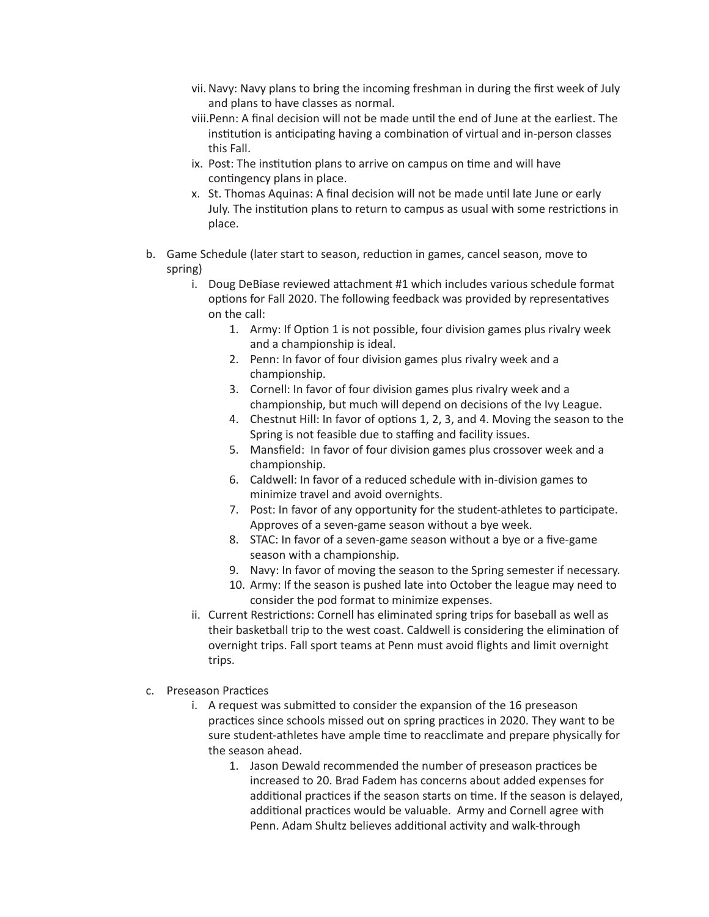- vii. Navy: Navy plans to bring the incoming freshman in during the first week of July and plans to have classes as normal.
- viii.Penn: A final decision will not be made until the end of June at the earliest. The institution is anticipating having a combination of virtual and in-person classes this Fall.
- ix. Post: The institution plans to arrive on campus on time and will have contingency plans in place.
- x. St. Thomas Aquinas: A final decision will not be made until late June or early July. The institution plans to return to campus as usual with some restrictions in place.
- b. Game Schedule (later start to season, reduction in games, cancel season, move to spring)
	- i. Doug DeBiase reviewed attachment  $#1$  which includes various schedule format options for Fall 2020. The following feedback was provided by representatives on the call:
		- 1. Army: If Option 1 is not possible, four division games plus rivalry week and a championship is ideal.
		- 2. Penn: In favor of four division games plus rivalry week and a championship.
		- 3. Cornell: In favor of four division games plus rivalry week and a championship, but much will depend on decisions of the Ivy League.
		- 4. Chestnut Hill: In favor of options 1, 2, 3, and 4. Moving the season to the Spring is not feasible due to staffing and facility issues.
		- 5. Mansfield: In favor of four division games plus crossover week and a championship.
		- 6. Caldwell: In favor of a reduced schedule with in-division games to minimize travel and avoid overnights.
		- 7. Post: In favor of any opportunity for the student-athletes to participate. Approves of a seven-game season without a bye week.
		- 8. STAC: In favor of a seven-game season without a bye or a five-game season with a championship.
		- 9. Navy: In favor of moving the season to the Spring semester if necessary.
		- 10. Army: If the season is pushed late into October the league may need to consider the pod format to minimize expenses.
	- ii. Current Restrictions: Cornell has eliminated spring trips for baseball as well as their basketball trip to the west coast. Caldwell is considering the elimination of overnight trips. Fall sport teams at Penn must avoid flights and limit overnight trips.
- c. Preseason Practices
	- i. A request was submitted to consider the expansion of the 16 preseason practices since schools missed out on spring practices in 2020. They want to be sure student-athletes have ample time to reacclimate and prepare physically for the season ahead.
		- 1. Jason Dewald recommended the number of preseason practices be increased to 20. Brad Fadem has concerns about added expenses for additional practices if the season starts on time. If the season is delayed, additional practices would be valuable. Army and Cornell agree with Penn. Adam Shultz believes additional activity and walk-through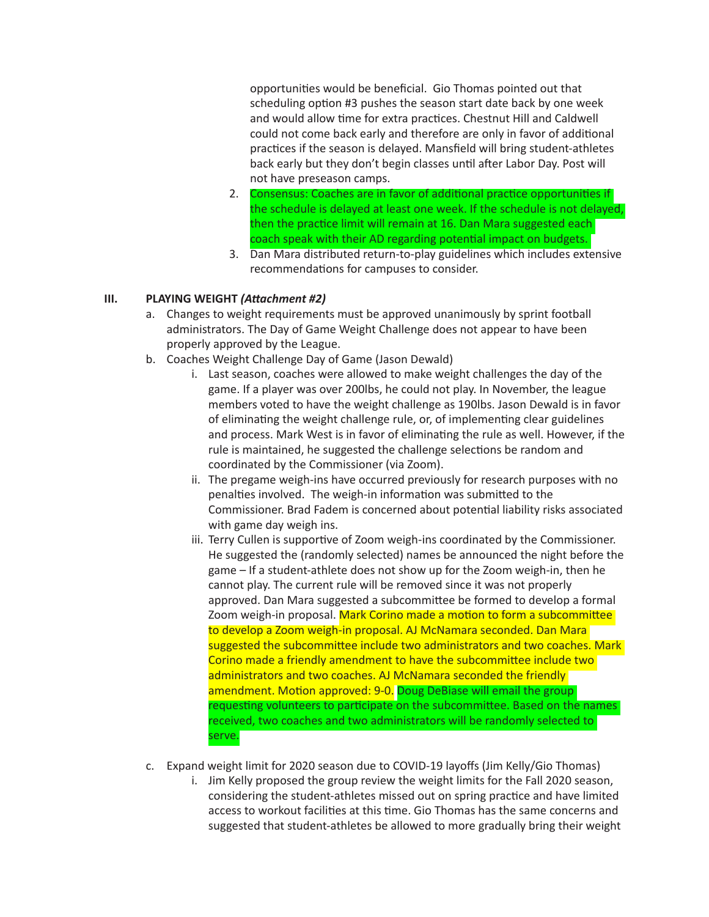opportunities would be beneficial. Gio Thomas pointed out that scheduling option #3 pushes the season start date back by one week and would allow time for extra practices. Chestnut Hill and Caldwell could not come back early and therefore are only in favor of additional practices if the season is delayed. Mansfield will bring student-athletes back early but they don't begin classes until after Labor Day. Post will not have preseason camps.

- 2. Consensus: Coaches are in favor of additional practice opportunities if the schedule is delayed at least one week. If the schedule is not delayed, then the practice limit will remain at 16. Dan Mara suggested each coach speak with their AD regarding potential impact on budgets.
- 3. Dan Mara distributed return-to-play guidelines which includes extensive recommendations for campuses to consider.

# **III. PLAYING WEIGHT (Attachment #2)**

- a. Changes to weight requirements must be approved unanimously by sprint football administrators. The Day of Game Weight Challenge does not appear to have been properly approved by the League.
- b. Coaches Weight Challenge Day of Game (Jason Dewald)
	- i. Last season, coaches were allowed to make weight challenges the day of the game. If a player was over 200lbs, he could not play. In November, the league members voted to have the weight challenge as 190lbs. Jason Dewald is in favor of eliminating the weight challenge rule, or, of implementing clear guidelines and process. Mark West is in favor of eliminating the rule as well. However, if the rule is maintained, he suggested the challenge selections be random and coordinated by the Commissioner (via Zoom).
	- ii. The pregame weigh-ins have occurred previously for research purposes with no penalties involved. The weigh-in information was submitted to the Commissioner. Brad Fadem is concerned about potential liability risks associated with game day weigh ins.
	- iii. Terry Cullen is supportive of Zoom weigh-ins coordinated by the Commissioner. He suggested the (randomly selected) names be announced the night before the game – If a student-athlete does not show up for the Zoom weigh-in, then he cannot play. The current rule will be removed since it was not properly approved. Dan Mara suggested a subcommittee be formed to develop a formal Zoom weigh-in proposal. Mark Corino made a motion to form a subcommittee to develop a Zoom weigh-in proposal. AJ McNamara seconded. Dan Mara suggested the subcommittee include two administrators and two coaches. Mark Corino made a friendly amendment to have the subcommittee include two administrators and two coaches. AJ McNamara seconded the friendly amendment. Motion approved: 9-0. Doug DeBiase will email the group requesting volunteers to participate on the subcommittee. Based on the names received, two coaches and two administrators will be randomly selected to serve.
- c. Expand weight limit for 2020 season due to COVID-19 layoffs (Jim Kelly/Gio Thomas)
	- i. Jim Kelly proposed the group review the weight limits for the Fall 2020 season, considering the student-athletes missed out on spring practice and have limited access to workout facilities at this time. Gio Thomas has the same concerns and suggested that student-athletes be allowed to more gradually bring their weight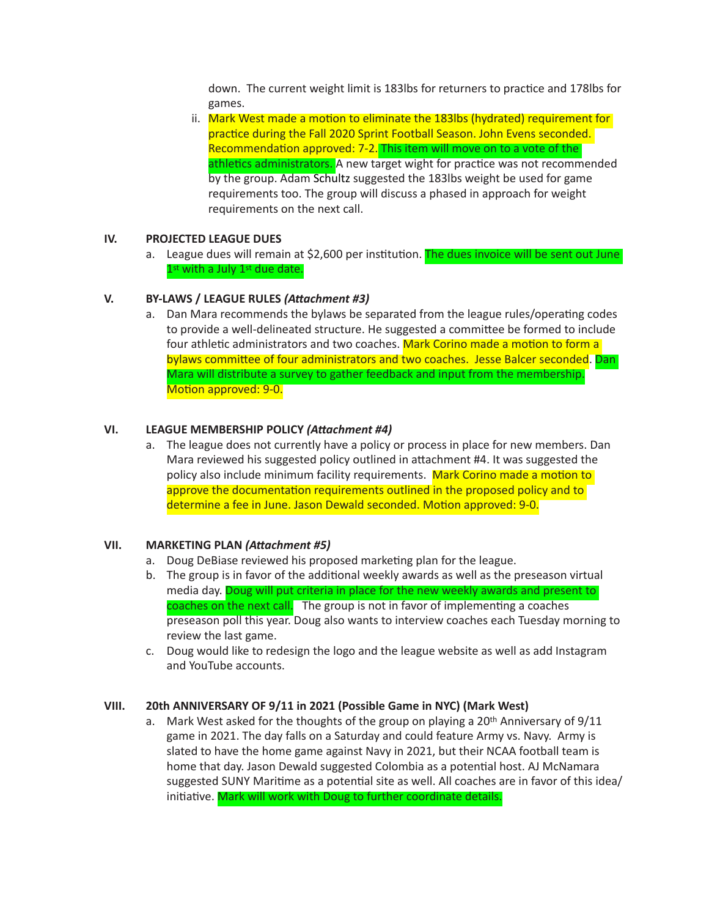down. The current weight limit is 183lbs for returners to practice and 178lbs for games.

ii. Mark West made a motion to eliminate the 183lbs (hydrated) requirement for practice during the Fall 2020 Sprint Football Season. John Evens seconded. Recommendation approved: 7-2. This item will move on to a vote of the athletics administrators. A new target wight for practice was not recommended by the group. Adam Schultz suggested the 183lbs weight be used for game requirements too. The group will discuss a phased in approach for weight requirements on the next call.

### **IV. PROJECTED LEAGUE DUES**

a. League dues will remain at \$2,600 per institution. The dues invoice will be sent out June  $1<sup>st</sup>$  with a July  $1<sup>st</sup>$  due date.

### **V.** BY-LAWS / LEAGUE RULES (Attachment #3)

a. Dan Mara recommends the bylaws be separated from the league rules/operating codes to provide a well-delineated structure. He suggested a committee be formed to include four athletic administrators and two coaches. Mark Corino made a motion to form a bylaws committee of four administrators and two coaches. Jesse Balcer seconded. Dan Mara will distribute a survey to gather feedback and input from the membership. Motion approved: 9-0.

### **VI.** LEAGUE MEMBERSHIP POLICY (Attachment #4)

a. The league does not currently have a policy or process in place for new members. Dan Mara reviewed his suggested policy outlined in attachment #4. It was suggested the policy also include minimum facility requirements. Mark Corino made a motion to approve the documentation requirements outlined in the proposed policy and to determine a fee in June. Jason Dewald seconded. Motion approved: 9-0.

#### **VII. MARKETING PLAN (Attachment #5)**

- a. Doug DeBiase reviewed his proposed marketing plan for the league.
- b. The group is in favor of the additional weekly awards as well as the preseason virtual media day. Doug will put criteria in place for the new weekly awards and present to coaches on the next call. The group is not in favor of implementing a coaches preseason poll this year. Doug also wants to interview coaches each Tuesday morning to review the last game.
- c. Doug would like to redesign the logo and the league website as well as add Instagram and YouTube accounts.

#### **VIII. 20th ANNIVERSARY OF 9/11 in 2021 (Possible Game in NYC) (Mark West)**

a. Mark West asked for the thoughts of the group on playing a  $20<sup>th</sup>$  Anniversary of  $9/11$ game in 2021. The day falls on a Saturday and could feature Army vs. Navy. Army is slated to have the home game against Navy in 2021, but their NCAA football team is home that day. Jason Dewald suggested Colombia as a potential host. AJ McNamara suggested SUNY Maritime as a potential site as well. All coaches are in favor of this idea/ initiative. Mark will work with Doug to further coordinate details.